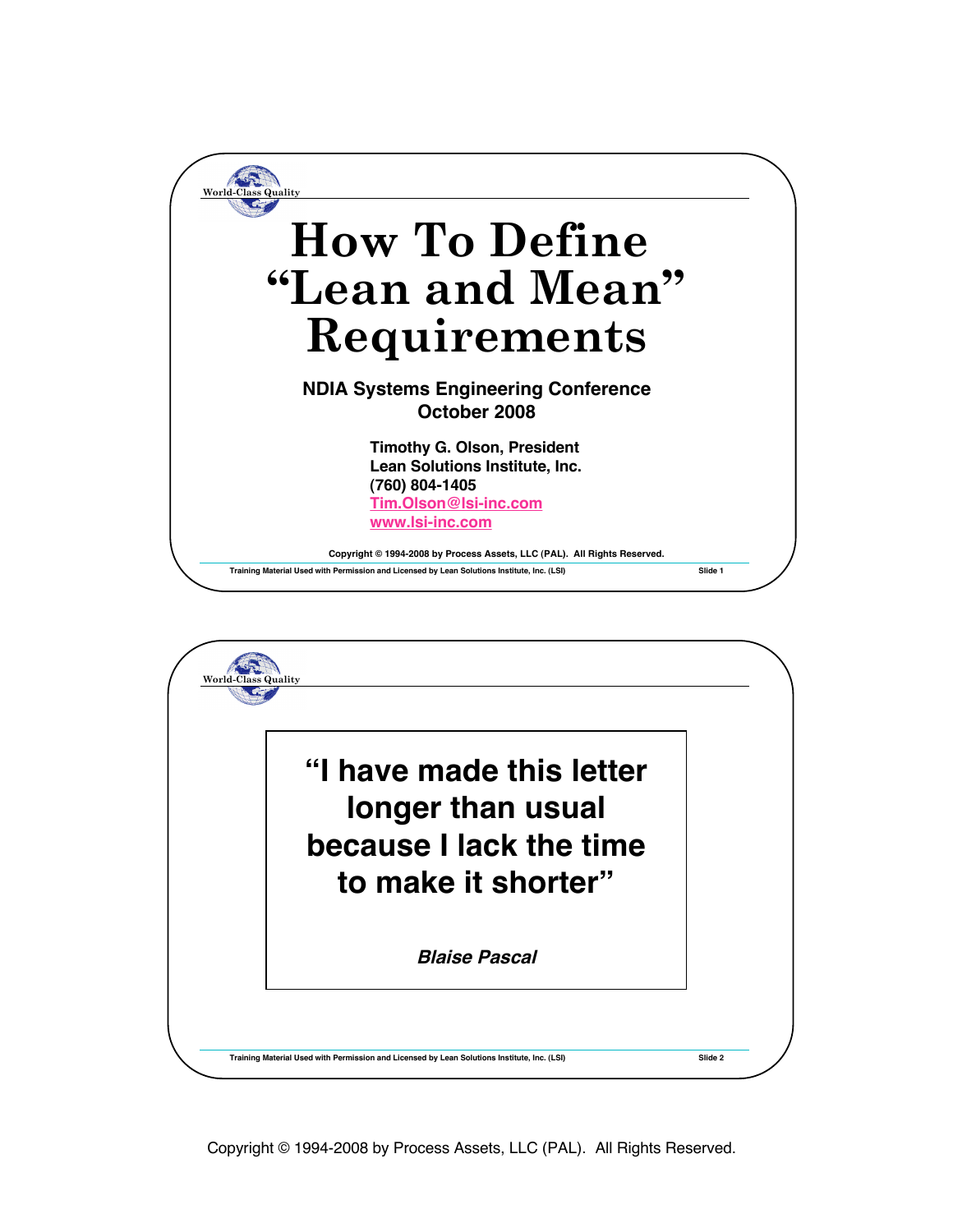

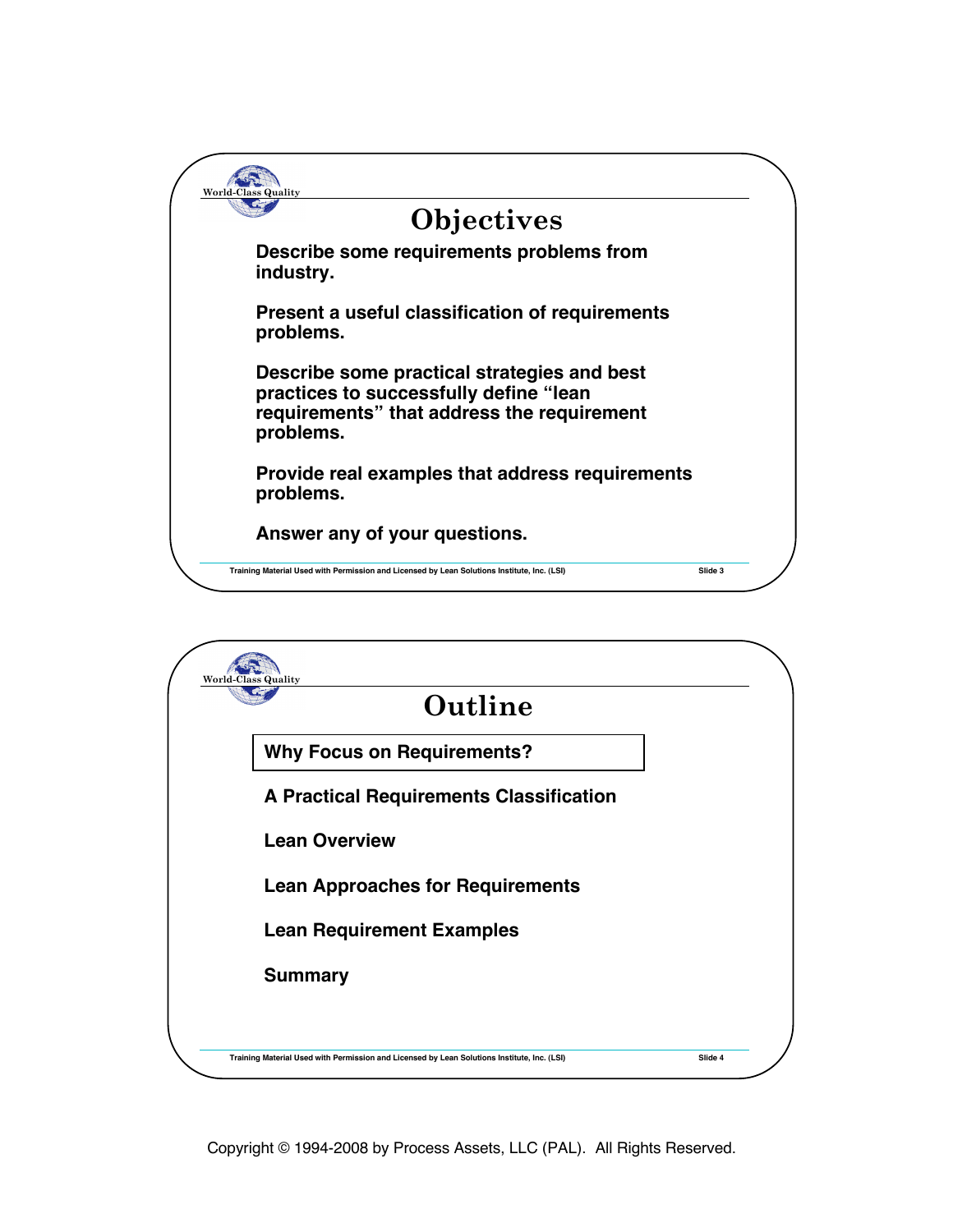

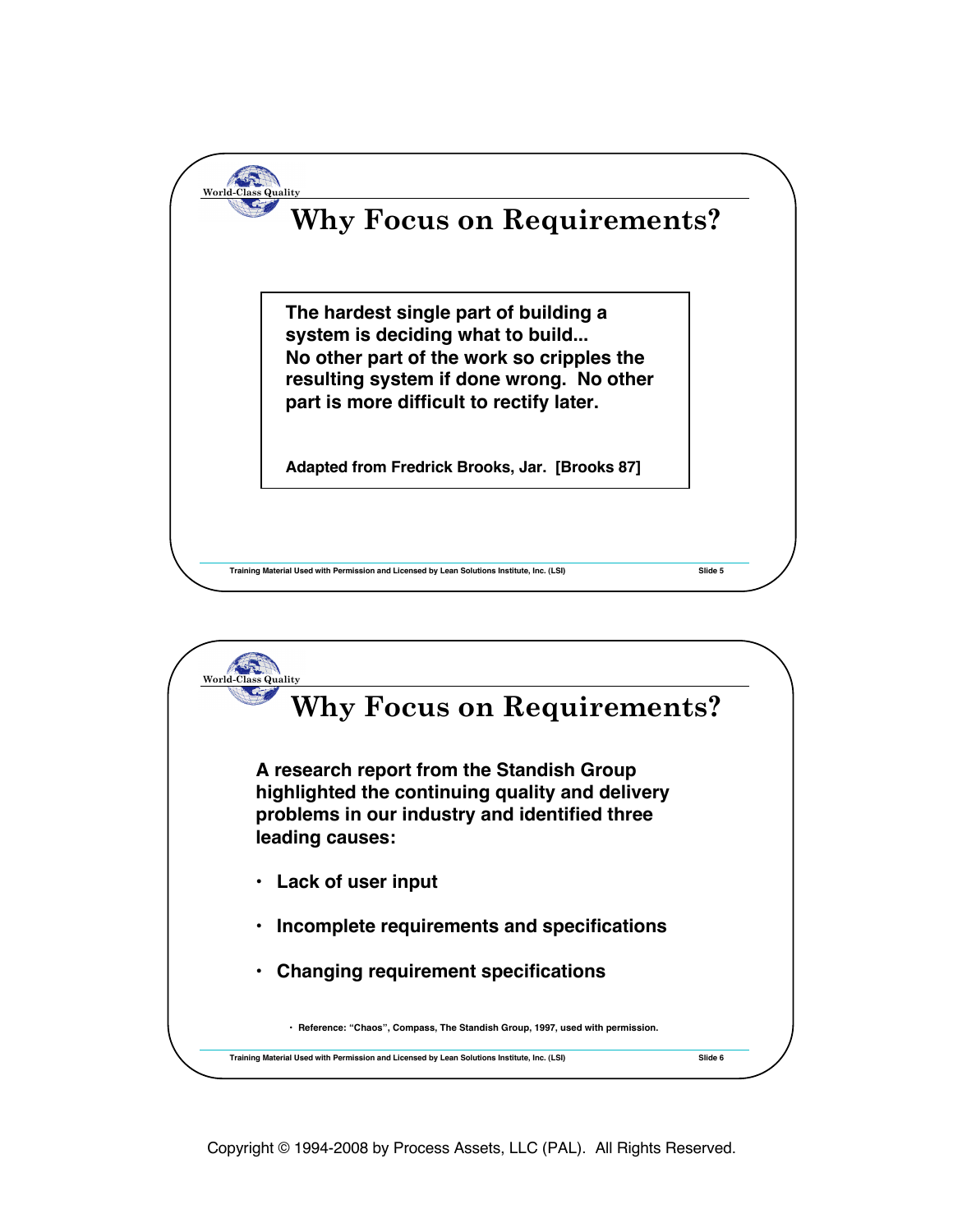

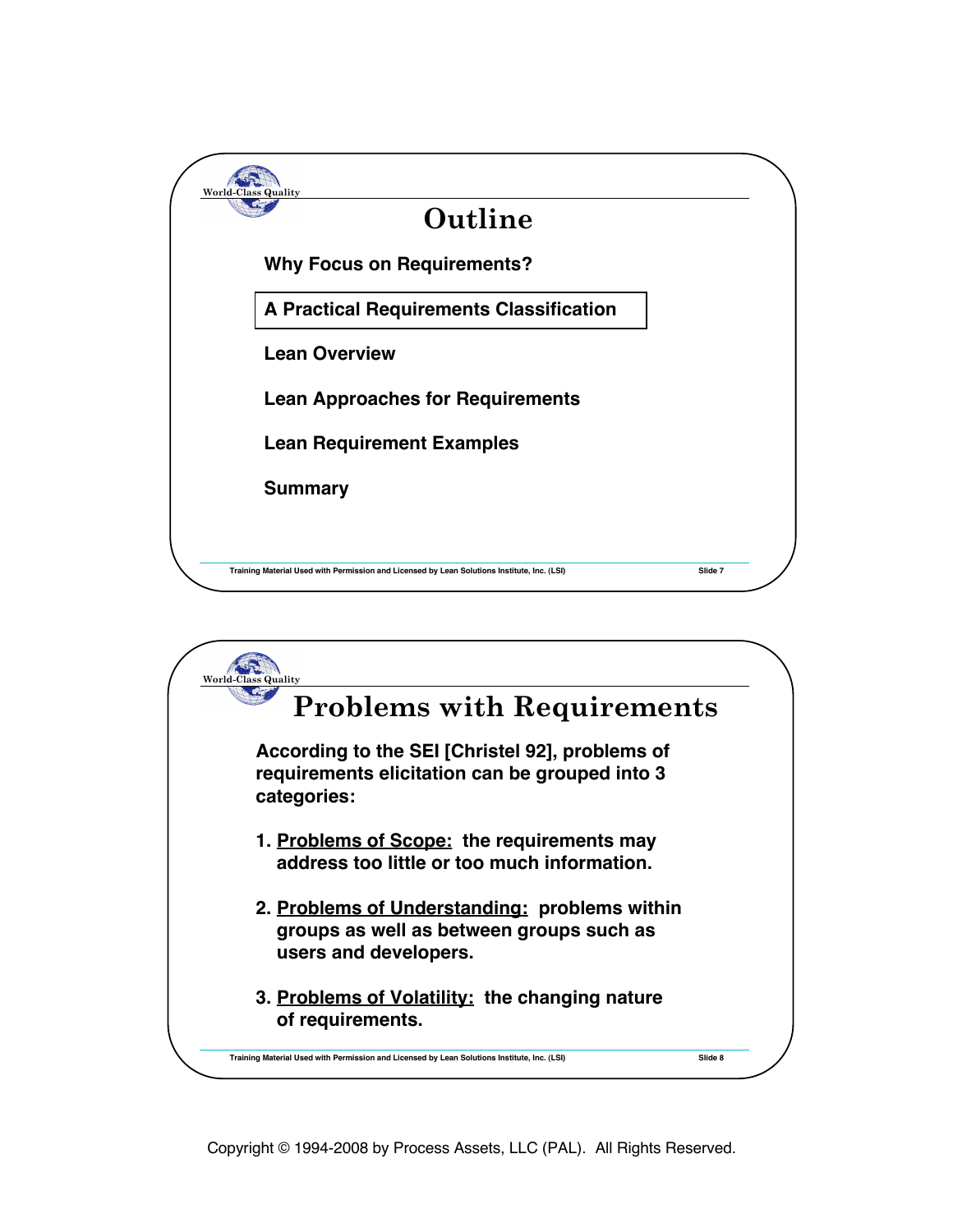

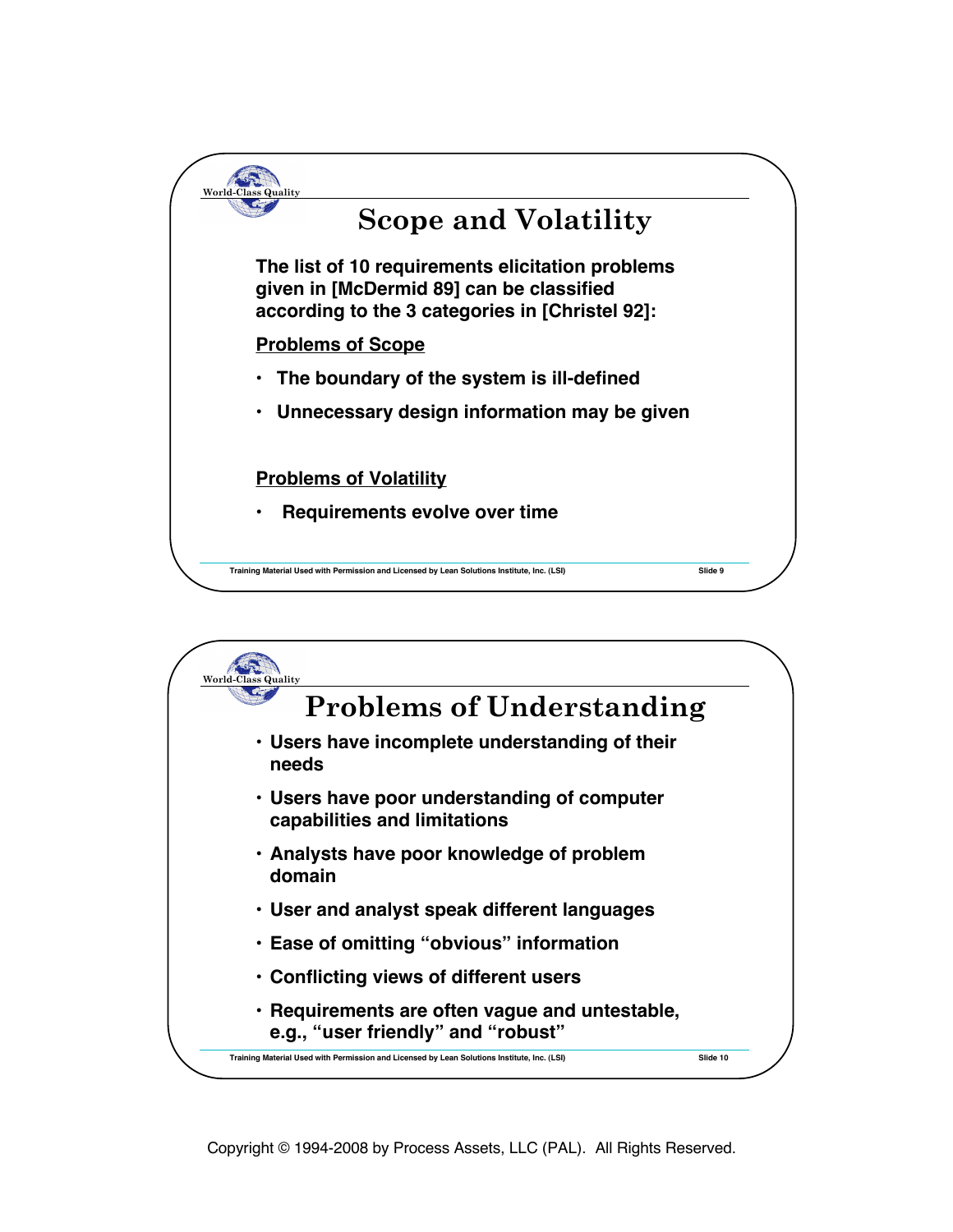

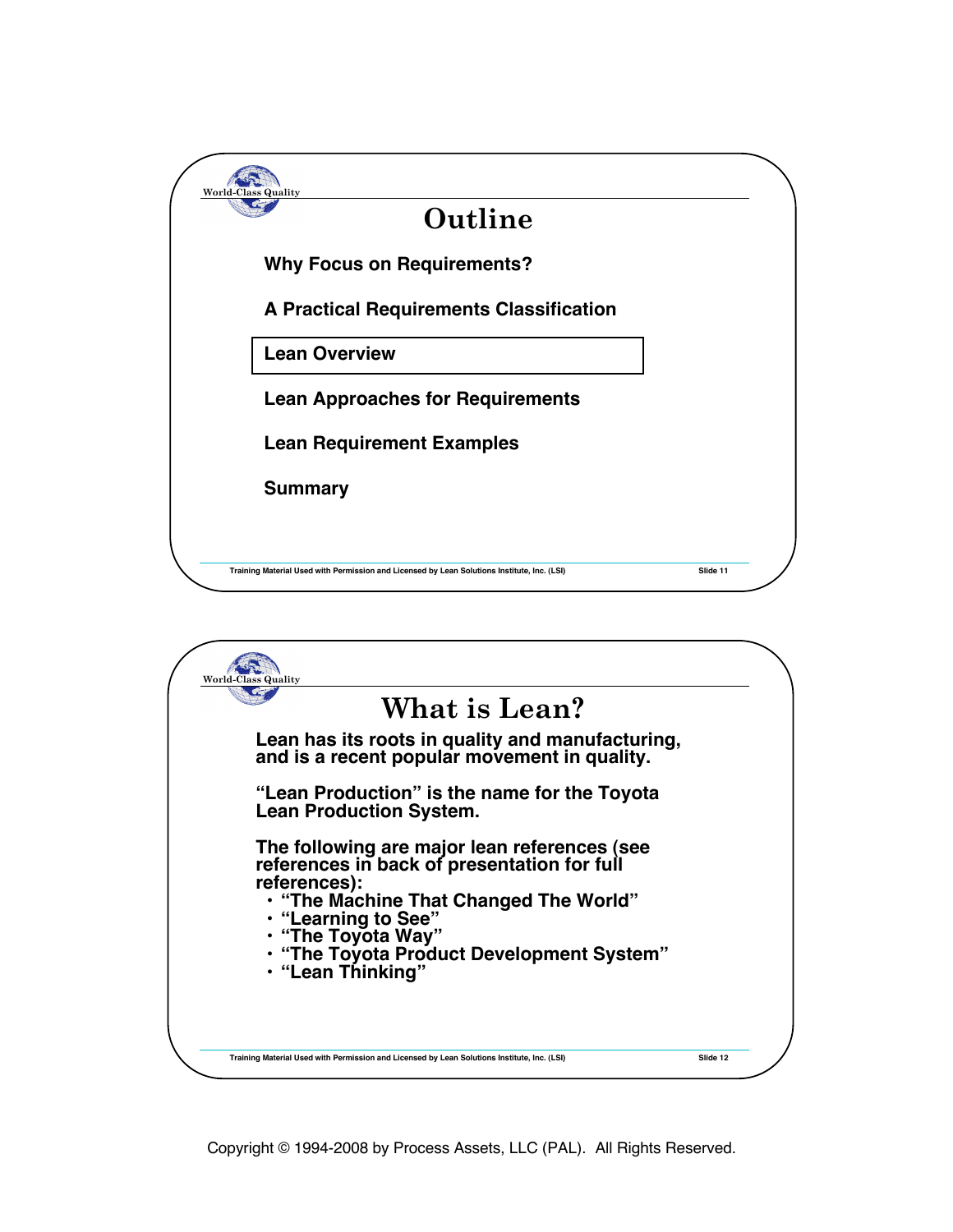

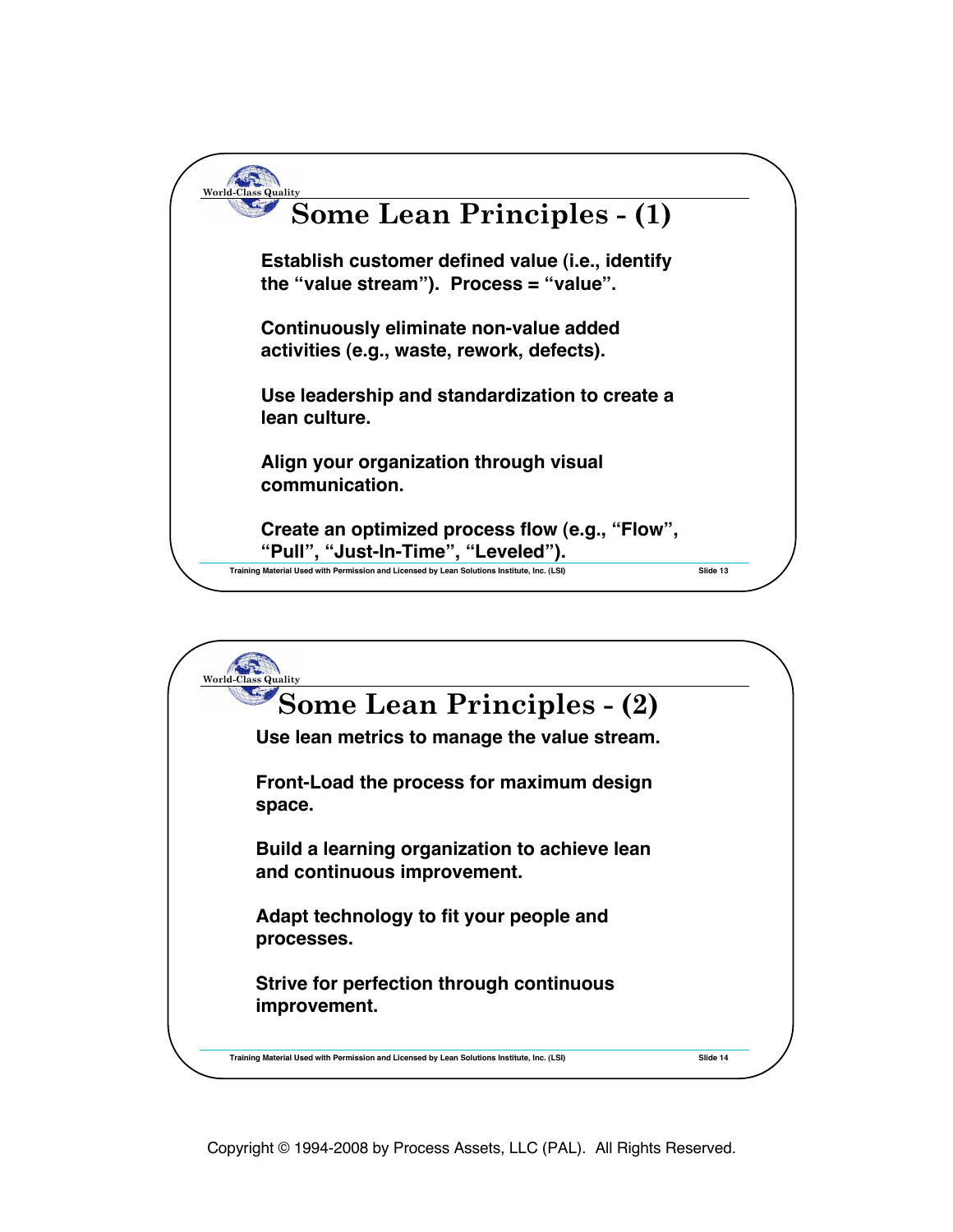

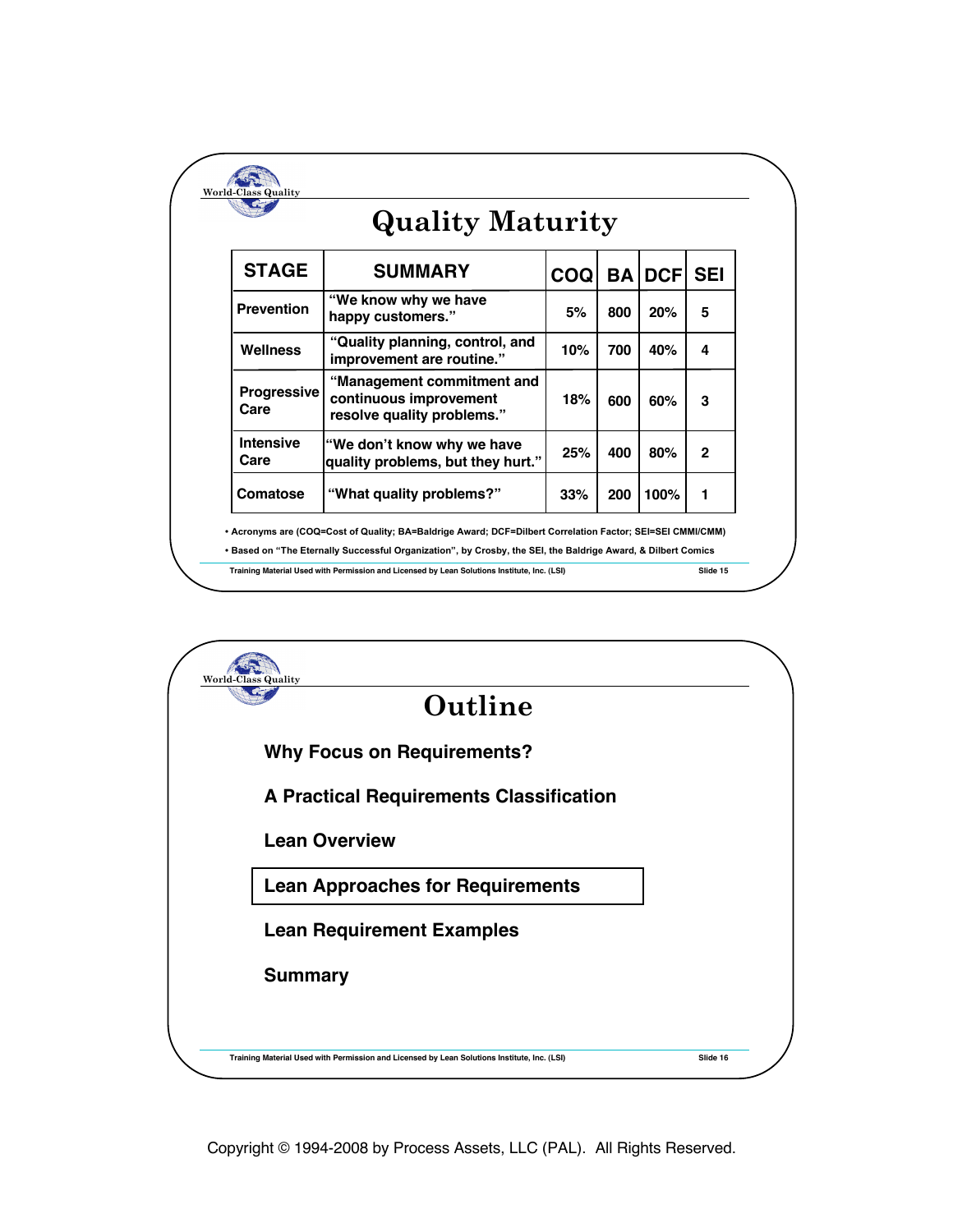| <b>Quality Maturity</b>    |                                                                                    |            |           |             |              |
|----------------------------|------------------------------------------------------------------------------------|------------|-----------|-------------|--------------|
| <b>STAGE</b>               | <b>SUMMARY</b>                                                                     | <b>COQ</b> | <b>BA</b> | <b>DCFI</b> | <b>SEI</b>   |
| <b>Prevention</b>          | "We know why we have<br>happy customers."                                          | 5%         | 800       | 20%         | 5            |
| Wellness                   | "Quality planning, control, and<br>improvement are routine."                       | 10%        | 700       | 40%         | 4            |
| <b>Progressive</b><br>Care | "Management commitment and<br>continuous improvement<br>resolve quality problems." | 18%        | 600       | 60%         | 3            |
| <b>Intensive</b><br>Care   | "We don't know why we have<br>quality problems, but they hurt."                    | 25%        | 400       | 80%         | $\mathbf{c}$ |
| Comatose                   | "What quality problems?"                                                           | 33%        | 200       | 100%        | 1            |

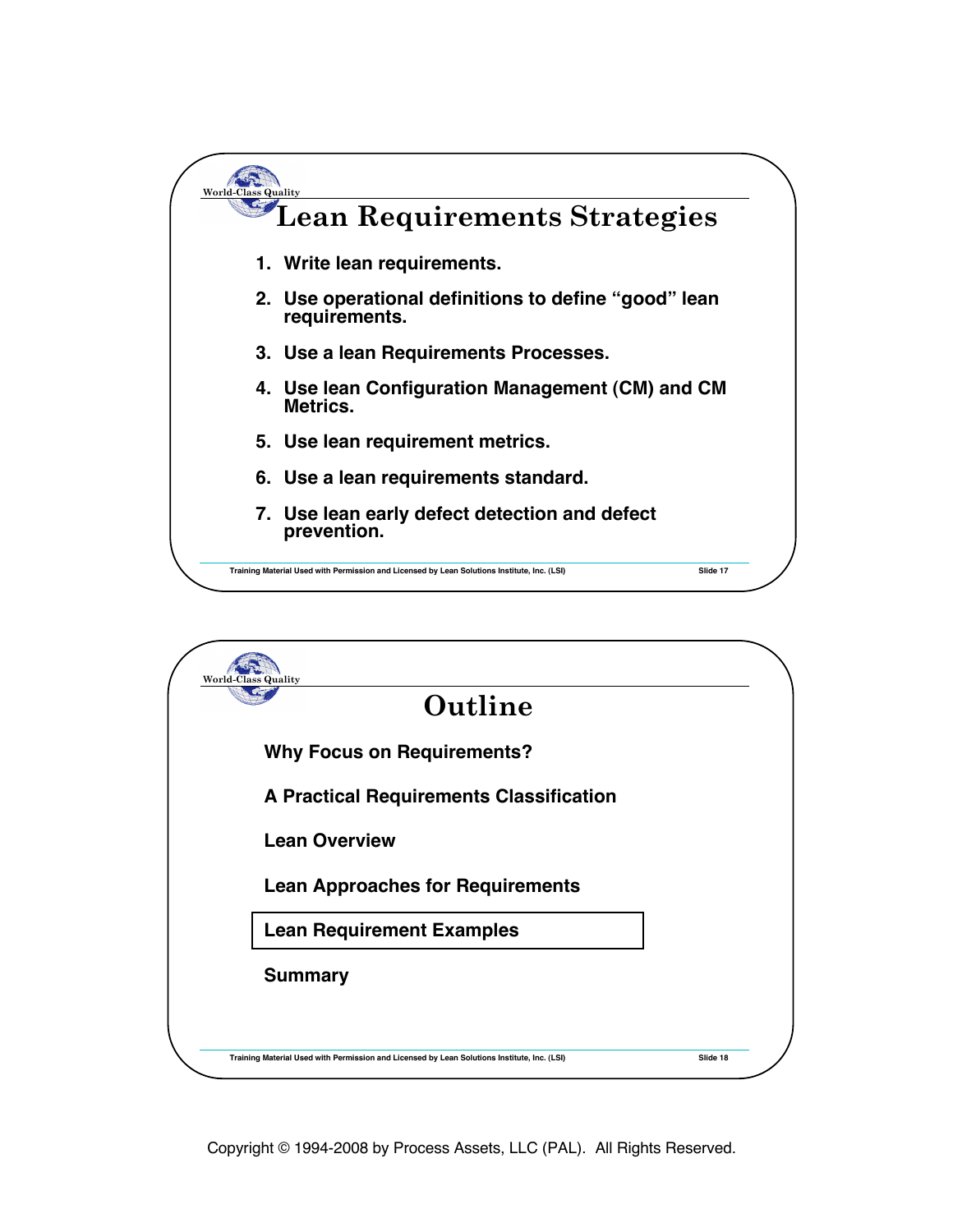

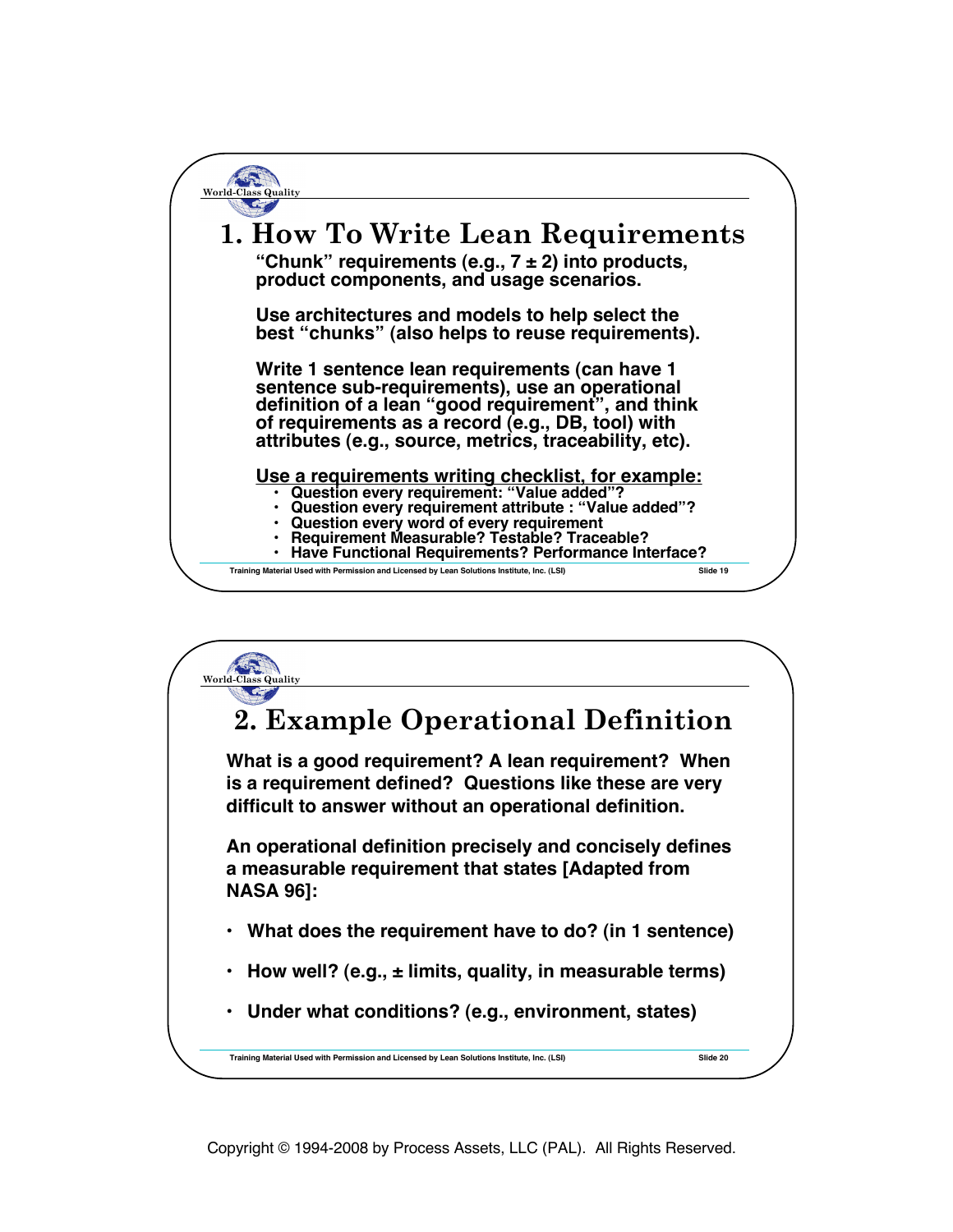**Training Material Used with Permission and Licensed by Lean Solutions Institute, Inc. (LSI) Slide 19 World-Class Quality 1. How To Write Lean Requirements "Chunk" requirements (e.g., 7 ± 2) into products, product components, and usage scenarios. Use architectures and models to help select the best "chunks" (also helps to reuse requirements). Write 1 sentence lean requirements (can have 1 sentence sub-requirements), use an operational definition of a lean "good requirement", and think of requirements as a record (e.g., DB, tool) with attributes (e.g., source, metrics, traceability, etc).** Use a requirements writing checklist, for example:<br>
• Question every requirement: "Value added"?<br>
• Question every requirement attribute : "Value added"?<br>
• Question every word of every requirement<br>
• Requirement Measurabl

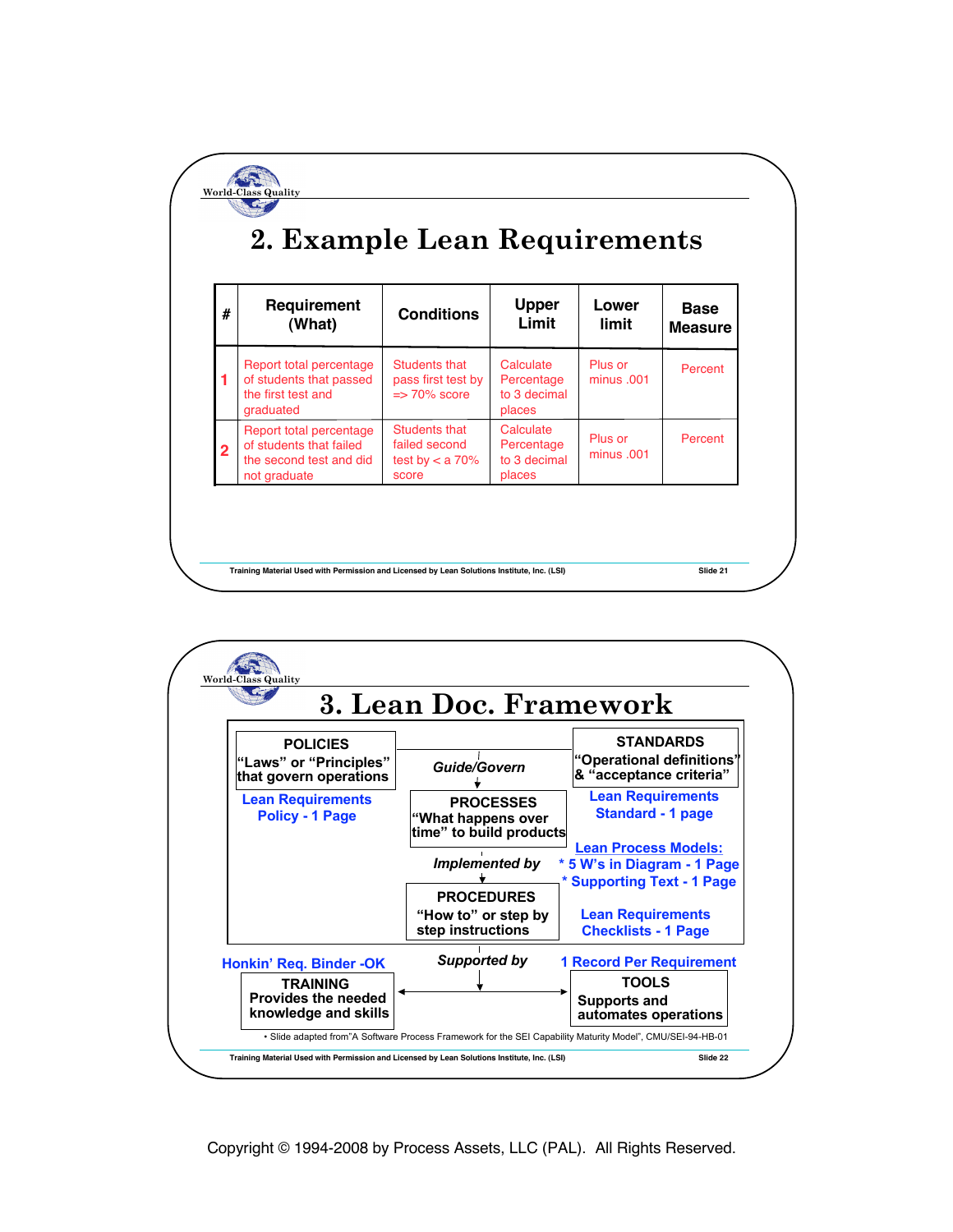| #              | Requirement<br>(What)                                                                         | <b>Conditions</b>                                              | <b>Upper</b><br>Limit                             | Lower<br>limit        | <b>Base</b><br><b>Measure</b> |
|----------------|-----------------------------------------------------------------------------------------------|----------------------------------------------------------------|---------------------------------------------------|-----------------------|-------------------------------|
|                | Report total percentage<br>of students that passed<br>the first test and<br>graduated         | Students that<br>pass first test by<br>$\Rightarrow$ 70% score | Calculate<br>Percentage<br>to 3 decimal<br>places | Plus or<br>minus .001 | Percent                       |
| $\overline{2}$ | Report total percentage<br>of students that failed<br>the second test and did<br>not graduate | Students that<br>failed second<br>test by $< a 70%$<br>score   | Calculate<br>Percentage<br>to 3 decimal<br>places | Plus or<br>minus .001 | Percent                       |

**Training Material Used with Permission and Licensed by Lean Solutions Institute, Inc. (LSI) Slide 21**

World-Class

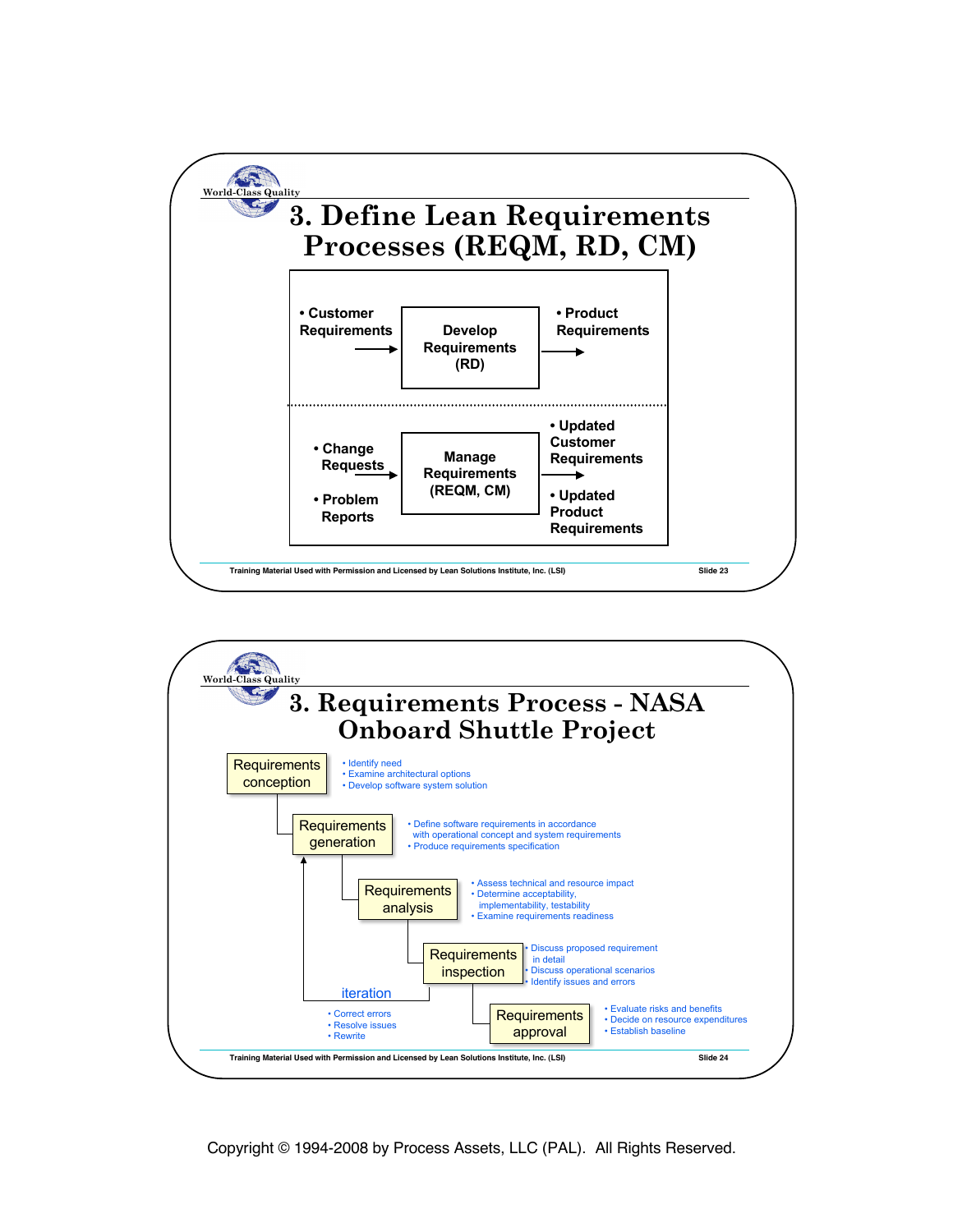

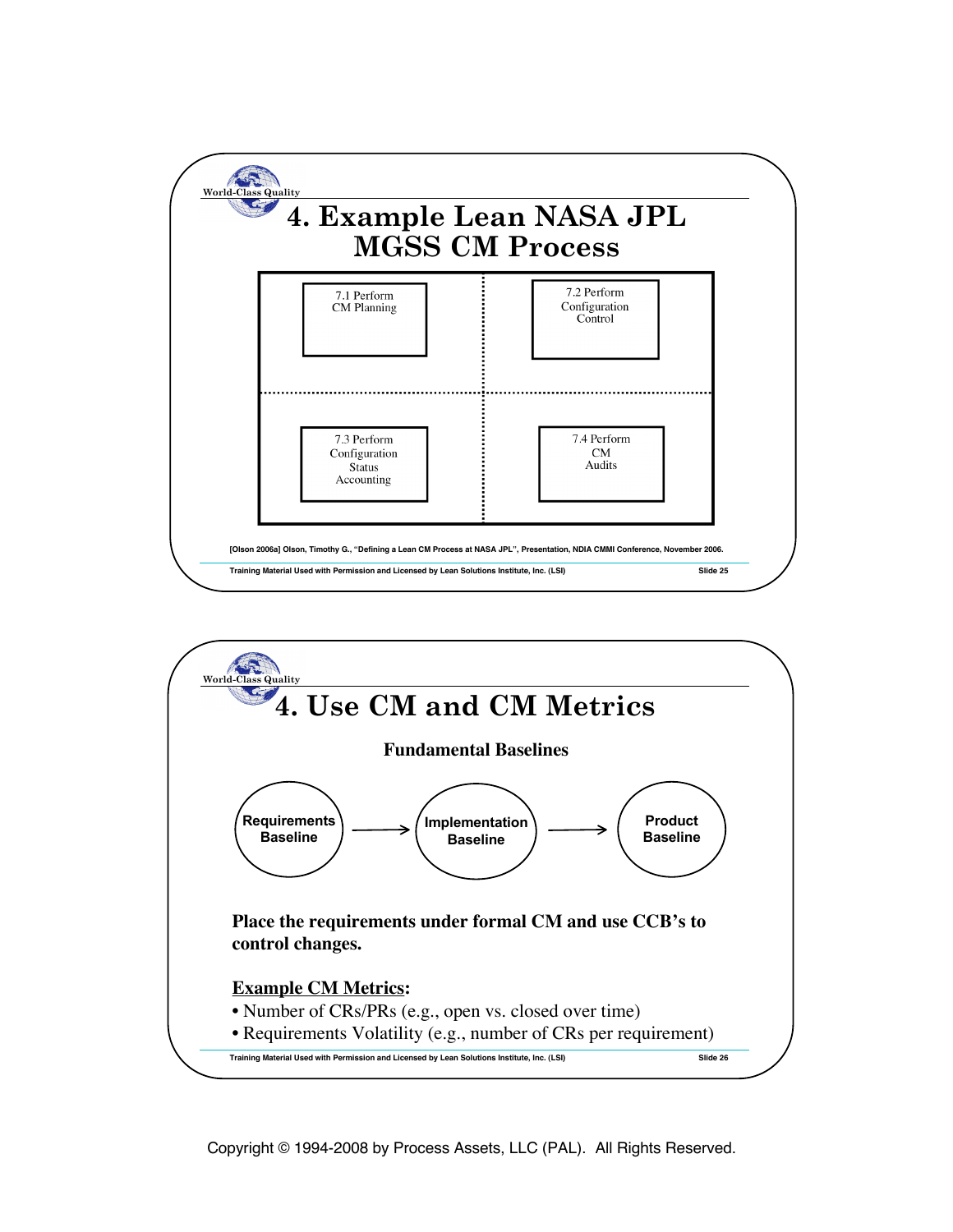

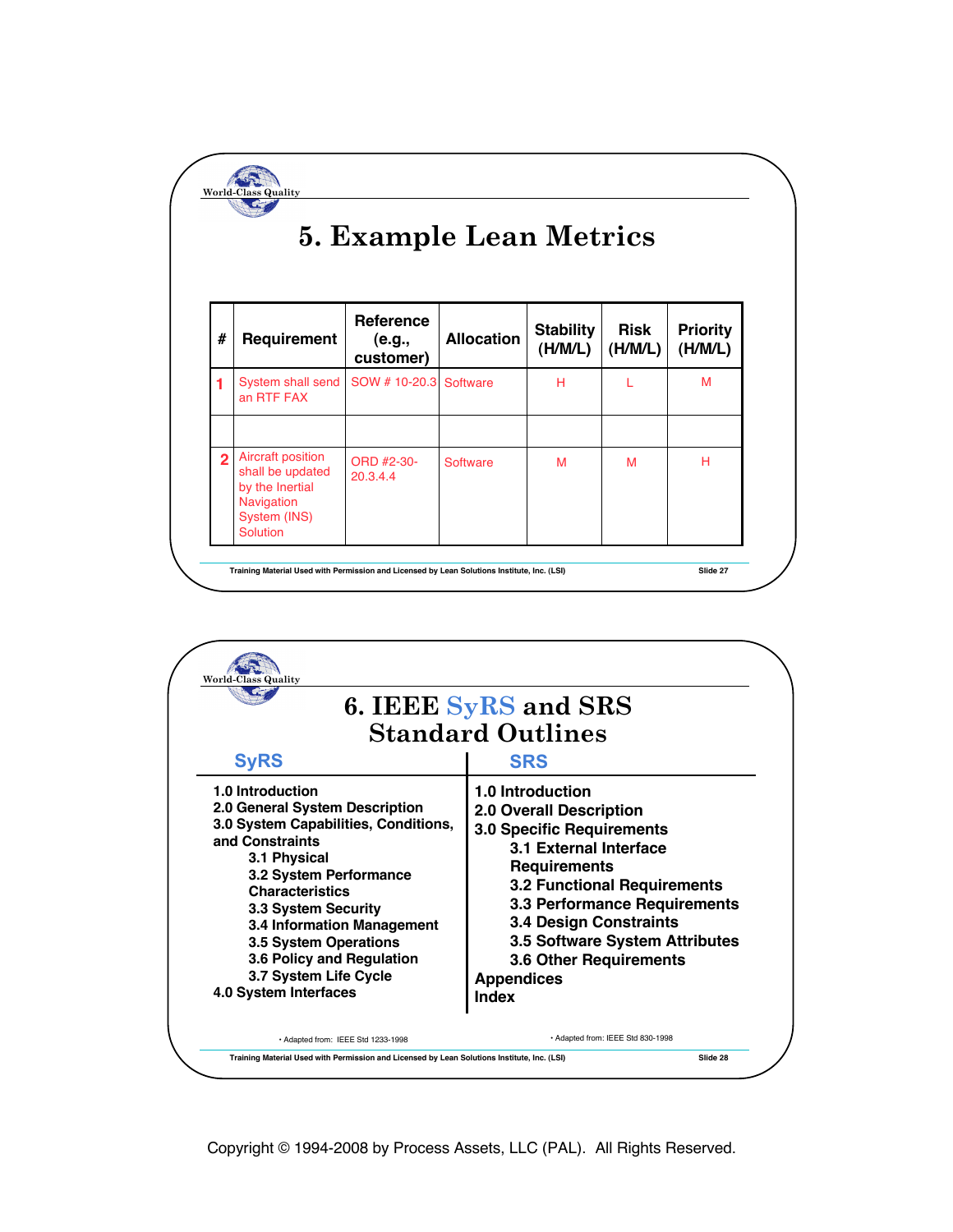## **5. Example Lean Metrics**

**World-Class Quality**

| #              | Requirement                                                                                                      | <b>Reference</b><br>(e.g.,<br>customer) | <b>Allocation</b> | <b>Stability</b><br>(H/M/L) | <b>Risk</b><br>(H/M/L) | <b>Priority</b><br>(H/M/L) |
|----------------|------------------------------------------------------------------------------------------------------------------|-----------------------------------------|-------------------|-----------------------------|------------------------|----------------------------|
|                | System shall send<br>an RTF FAX                                                                                  | SOW # 10-20.3 Software                  |                   | н                           |                        | М                          |
| $\overline{2}$ | Aircraft position<br>shall be updated<br>by the Inertial<br><b>Navigation</b><br>System (INS)<br><b>Solution</b> | ORD #2-30-<br>20.3.4.4                  | Software          | M                           | M                      | н                          |

| 6. IEEE SyRS and SRS<br><b>Standard Outlines</b>                                                                                                                                                                                                                                                                                               |                                                                                                                                                                                                                                                                                                                                                 |  |  |  |
|------------------------------------------------------------------------------------------------------------------------------------------------------------------------------------------------------------------------------------------------------------------------------------------------------------------------------------------------|-------------------------------------------------------------------------------------------------------------------------------------------------------------------------------------------------------------------------------------------------------------------------------------------------------------------------------------------------|--|--|--|
| <b>SyRS</b>                                                                                                                                                                                                                                                                                                                                    | <b>SRS</b>                                                                                                                                                                                                                                                                                                                                      |  |  |  |
| 1.0 Introduction<br>2.0 General System Description<br>3.0 System Capabilities, Conditions,<br>and Constraints<br>3.1 Physical<br>3.2 System Performance<br><b>Characteristics</b><br>3.3 System Security<br>3.4 Information Management<br>3.5 System Operations<br>3.6 Policy and Regulation<br>3.7 System Life Cycle<br>4.0 System Interfaces | 1.0 Introduction<br>2.0 Overall Description<br><b>3.0 Specific Requirements</b><br>3.1 External Interface<br><b>Requirements</b><br><b>3.2 Functional Requirements</b><br>3.3 Performance Requirements<br><b>3.4 Design Constraints</b><br><b>3.5 Software System Attributes</b><br><b>3.6 Other Requirements</b><br><b>Appendices</b><br>Index |  |  |  |
| · Adapted from: IEEE Std 1233-1998                                                                                                                                                                                                                                                                                                             | • Adapted from: IEEE Std 830-1998                                                                                                                                                                                                                                                                                                               |  |  |  |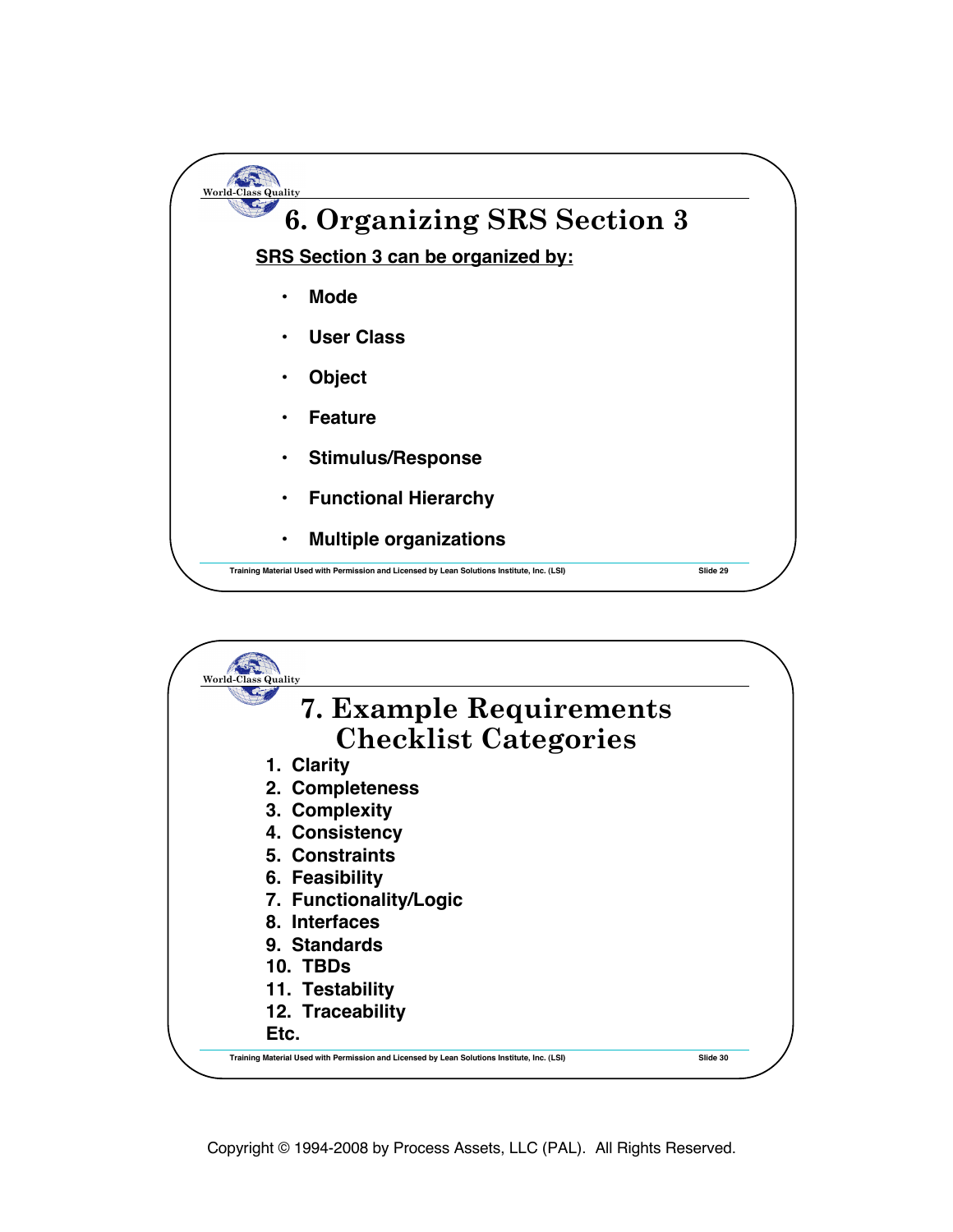

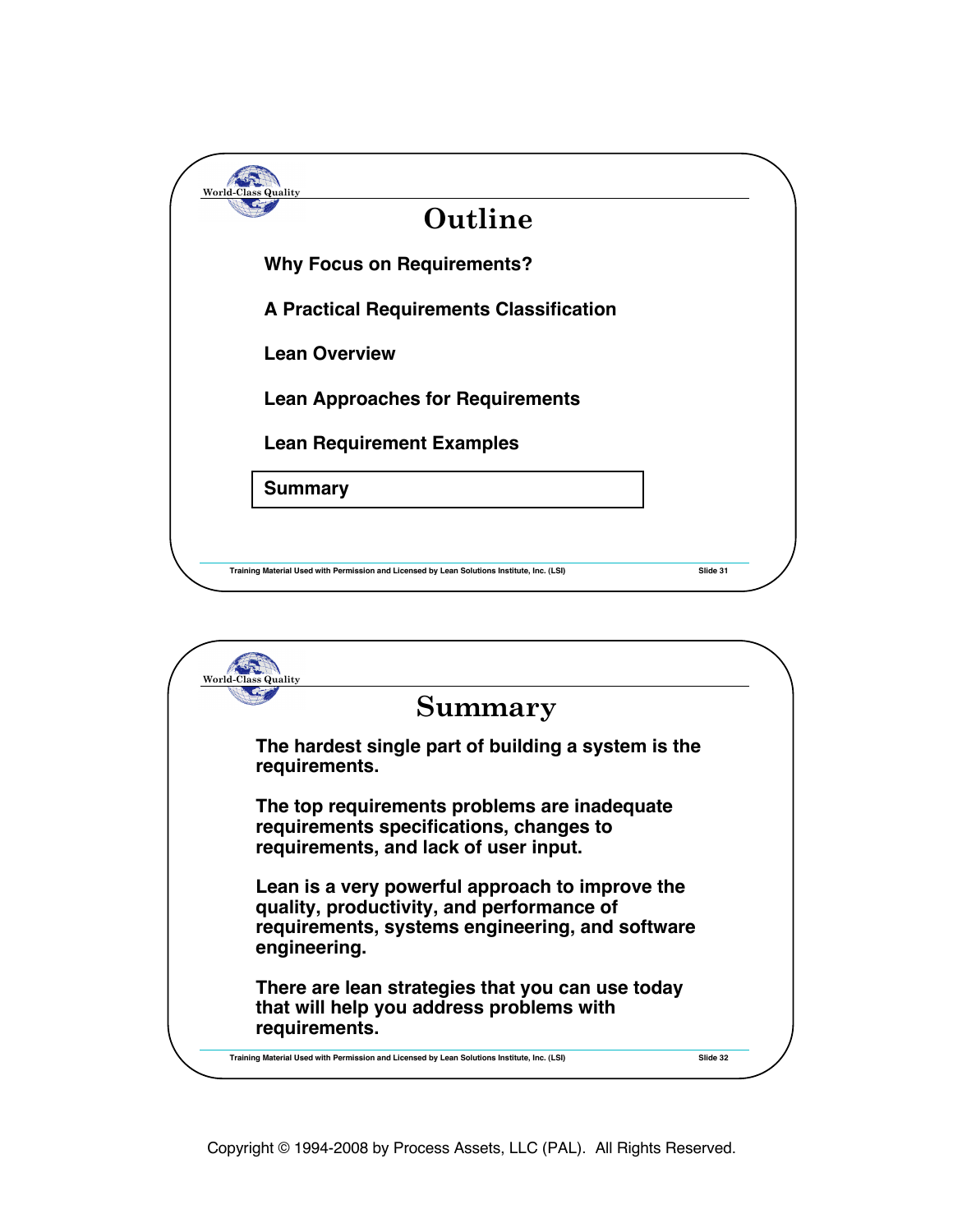| Outline                                        |  |
|------------------------------------------------|--|
| <b>Why Focus on Requirements?</b>              |  |
| <b>A Practical Requirements Classification</b> |  |
| <b>Lean Overview</b>                           |  |
| <b>Lean Approaches for Requirements</b>        |  |
| <b>Lean Requirement Examples</b>               |  |
| <b>Summary</b>                                 |  |
|                                                |  |